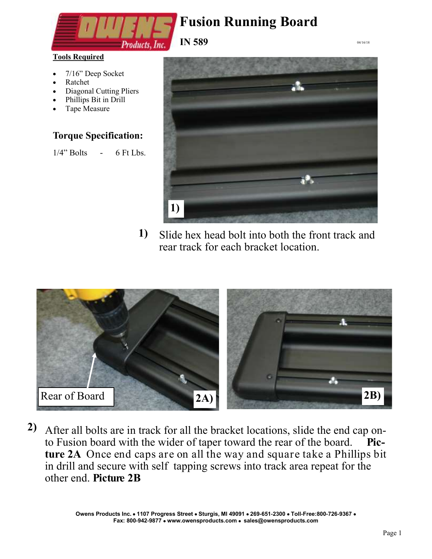

**Tools Required**

- 7/16" Deep Socket
- Ratchet
- Diagonal Cutting Pliers
- Phillips Bit in Drill
- Tape Measure

#### **Torque Specification:**

 $1/4$ " Bolts - 6 Ft Lbs.



04/16/18

Slide hex head bolt into both the front track and rear track for each bracket location. **1)**



After all bolts are in track for all the bracket locations, slide the end cap on-**2)** to Fusion board with the wider of taper toward the rear of the board. **Picture 2A** Once end caps are on all the way and square take a Phillips bit in drill and secure with self tapping screws into track area repeat for the other end. **Picture 2B**

> **Owens Products Inc. 1107 Progress Street Sturgis, MI 49091 269-651-2300 Toll-Free:800-726-9367 Fax: 800-942-9877 www.owensproducts.com sales@owensproducts.com**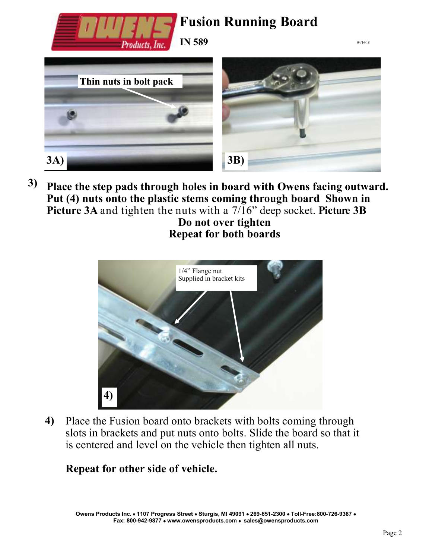

**Place the step pads through holes in board with Owens facing outward. Put (4) nuts onto the plastic stems coming through board Shown in Picture 3A** and tighten the nuts with a 7/16" deep socket. **Picture 3B 3)**

**Do not over tighten Repeat for both boards**



Place the Fusion board onto brackets with bolts coming through slots in brackets and put nuts onto bolts. Slide the board so that it is centered and level on the vehicle then tighten all nuts. **4)**

### **Repeat for other side of vehicle.**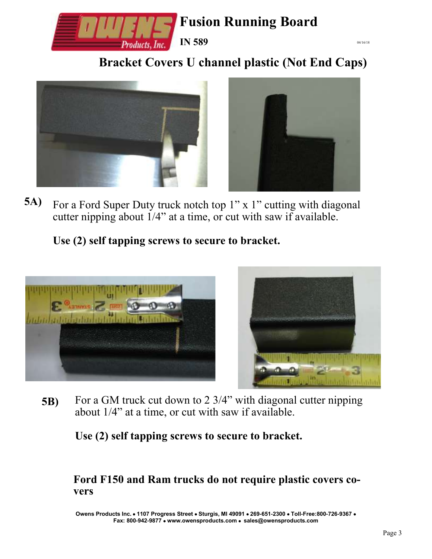

**Bracket Covers U channel plastic (Not End Caps)**





04/16/18

For a Ford Super Duty truck notch top 1" x 1" cutting with diagonal cutter nipping about  $1/4$ " at a time, or cut with saw if available. **5A)**

### **Use (2) self tapping screws to secure to bracket.**



For a GM truck cut down to 2 3/4" with diagonal cutter nipping about 1/4" at a time, or cut with saw if available. **5B)**

**Use (2) self tapping screws to secure to bracket.**

**Ford F150 and Ram trucks do not require plastic covers covers**

**Owens Products Inc. 1107 Progress Street Sturgis, MI 49091 269-651-2300 Toll-Free:800-726-9367 Fax: 800-942-9877 www.owensproducts.com sales@owensproducts.com**